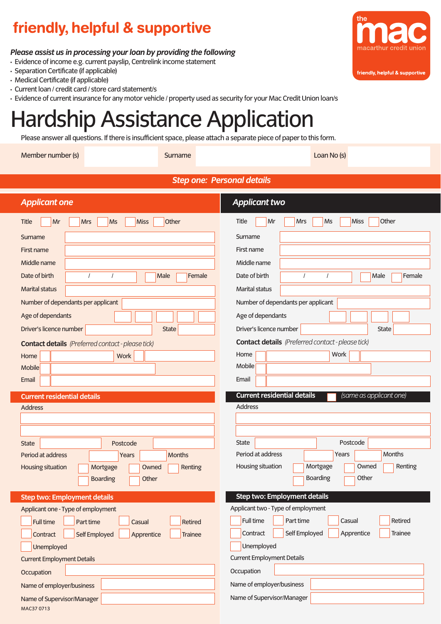# friendly, helpful & supportive

#### *Please assist us in processing your loan by providing the following*

- Evidence of income e.g. current payslip, Centrelink income statement
- Separation Certificate (if applicable)
- Medical Certificate (if applicable)
- Current loan / credit card / store card statement/s
- Evidence of current insurance for any motor vehicle / property used as security for your Mac Credit Union loan/s

# Hardship Assistance Application

Please answer all questions. If there is insufficient space, please attach a separate piece of paper to this form.

Member number (s) Surname Surname Loan No (s) Loan No (s)

| macarthur credit union         |  |
|--------------------------------|--|
|                                |  |
| friendly, helpful & supportive |  |
|                                |  |

the

| Step one: Personal details |  |  |
|----------------------------|--|--|
|----------------------------|--|--|

| <b>Applicant one</b>                                                                             | <b>Applicant two</b>                                                      |
|--------------------------------------------------------------------------------------------------|---------------------------------------------------------------------------|
| Other<br>Mr<br><b>Ms</b><br><b>Miss</b><br>Title<br><b>Mrs</b>                                   | Other<br>Mrs<br><b>Miss</b><br>Title<br>Mr<br>Ms                          |
| Surname                                                                                          | Surname                                                                   |
| First name                                                                                       | First name                                                                |
| Middle name                                                                                      | Middle name                                                               |
| Date of birth<br>Female<br>$\prime$<br>Male                                                      | Date of birth<br>Male<br>Female                                           |
| <b>Marital status</b>                                                                            | <b>Marital status</b>                                                     |
| Number of dependants per applicant                                                               | Number of dependants per applicant                                        |
| Age of dependants                                                                                | Age of dependants                                                         |
| Driver's licence number<br><b>State</b>                                                          | Driver's licence number<br><b>State</b>                                   |
| <b>Contact details</b> (Preferred contact - please tick)                                         | <b>Contact details</b> (Preferred contact - please tick)                  |
| <b>Work</b><br>Home                                                                              | Work<br>Home                                                              |
| <b>Mobile</b>                                                                                    | Mobile                                                                    |
| Email                                                                                            | Email                                                                     |
| <b>Current residential details</b>                                                               | <b>Current residential details</b><br>(same as applicant one)             |
| <b>Address</b>                                                                                   | Address                                                                   |
|                                                                                                  |                                                                           |
|                                                                                                  |                                                                           |
| <b>State</b><br>Postcode                                                                         | <b>State</b><br>Postcode<br>Period at address<br>Months<br>Years          |
| Period at address<br><b>Months</b><br>Years<br>Housing situation<br>Owned<br>Renting<br>Mortgage | Housing situation<br>Mortgage<br>Owned<br>Renting                         |
| Other<br><b>Boarding</b>                                                                         | <b>Boarding</b><br>Other                                                  |
|                                                                                                  |                                                                           |
| <b>Step two: Employment details</b>                                                              | <b>Step two: Employment details</b><br>Applicant two - Type of employment |
| Applicant one - Type of employment<br>Full time<br>Casual<br><b>Retired</b>                      | Full time<br>Part time<br>Retired<br>Casual                               |
| Part time<br>Contract<br>Self Employed<br>Apprentice<br><b>Trainee</b>                           | Self Employed<br>Apprentice<br><b>Trainee</b><br>Contract                 |
| Unemployed                                                                                       | Unemployed                                                                |
| <b>Current Employment Details</b>                                                                | <b>Current Employment Details</b>                                         |
| Occupation                                                                                       | Occupation                                                                |
| Name of employer/business                                                                        | Name of employer/business                                                 |
| Name of Supervisor/Manager                                                                       | Name of Supervisor/Manager                                                |
| MAC37 0713                                                                                       |                                                                           |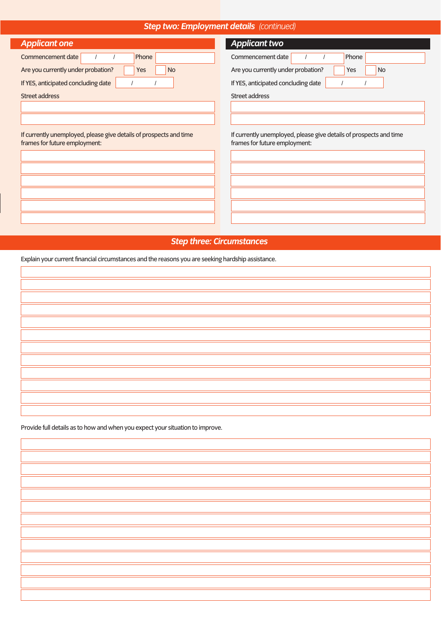#### *Step two: Employment details (continued)*

| <b>Applicant one</b> |  |
|----------------------|--|
|                      |  |
|                      |  |

| Commencement date                   |  | Phone |           |  |
|-------------------------------------|--|-------|-----------|--|
| Are you currently under probation?  |  | Yes   | <b>No</b> |  |
| If YES, anticipated concluding date |  |       |           |  |
| Street address                      |  |       |           |  |

If currently unemployed, please give details of prospects and time frames for future employment:

| <b>Applicant two</b>                                                                                |
|-----------------------------------------------------------------------------------------------------|
| Commencement date<br>Phone<br>1                                                                     |
| Are you currently under probation?<br>Yes<br><b>No</b>                                              |
| If YES, anticipated concluding date                                                                 |
| Street address                                                                                      |
|                                                                                                     |
|                                                                                                     |
|                                                                                                     |
| If currently unemployed, please give details of prospects and time<br>frames for future employment: |
|                                                                                                     |
|                                                                                                     |
|                                                                                                     |
|                                                                                                     |
|                                                                                                     |

#### *Step three: Circumstances*

Explain your current financial circumstances and the reasons you are seeking hardship assistance.

Provide full details as to how and when you expect your situation to improve.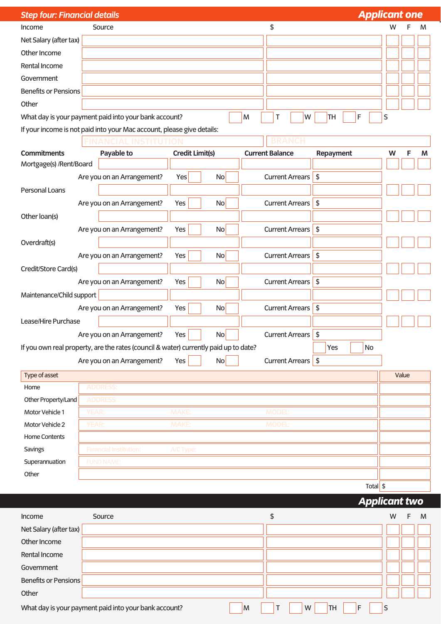| <b>Applicant one</b><br><b>Step four: Financial details</b> |              |                                                                                      |              |                        |    |                        |  |               |                        |               |           |   |       |   |
|-------------------------------------------------------------|--------------|--------------------------------------------------------------------------------------|--------------|------------------------|----|------------------------|--|---------------|------------------------|---------------|-----------|---|-------|---|
| Income                                                      |              | Source                                                                               |              |                        |    |                        |  | \$            |                        |               |           | w |       | M |
| Net Salary (after tax)                                      |              |                                                                                      |              |                        |    |                        |  |               |                        |               |           |   |       |   |
| Other Income                                                |              |                                                                                      |              |                        |    |                        |  |               |                        |               |           |   |       |   |
| Rental Income                                               |              |                                                                                      |              |                        |    |                        |  |               |                        |               |           |   |       |   |
| Government                                                  |              |                                                                                      |              |                        |    |                        |  |               |                        |               |           |   |       |   |
| <b>Benefits or Pensions</b>                                 |              |                                                                                      |              |                        |    |                        |  |               |                        |               |           |   |       |   |
| Other                                                       |              |                                                                                      |              |                        |    |                        |  |               |                        |               |           |   |       |   |
| What day is your payment paid into your bank account?       |              |                                                                                      |              |                        |    | M                      |  | Τ             | W                      | TH            | F         | S |       |   |
|                                                             |              | If your income is not paid into your Mac account, please give details:               |              |                        |    |                        |  |               |                        |               |           |   |       |   |
|                                                             |              |                                                                                      |              |                        |    |                        |  |               |                        |               |           |   |       |   |
| <b>Commitments</b>                                          |              | Payable to                                                                           |              | <b>Credit Limit(s)</b> |    | <b>Current Balance</b> |  |               |                        | Repayment     |           | W | F     | M |
| Mortgage(s) /Rent/Board                                     |              |                                                                                      |              |                        |    |                        |  |               |                        |               |           |   |       |   |
|                                                             |              | Are you on an Arrangement?                                                           | Yes          |                        | No |                        |  |               | <b>Current Arrears</b> | $\sqrt{2}$    |           |   |       |   |
| <b>Personal Loans</b>                                       |              |                                                                                      |              |                        |    |                        |  |               |                        |               |           |   |       |   |
|                                                             |              | Are you on an Arrangement?                                                           | Yes          |                        | No |                        |  |               | <b>Current Arrears</b> | $\sqrt{2}$    |           |   |       |   |
| Other loan(s)                                               |              |                                                                                      |              |                        |    |                        |  |               |                        |               |           |   |       |   |
|                                                             |              | Are you on an Arrangement?                                                           | Yes          |                        | No |                        |  |               | Current Arrears        | $\sqrt{2}$    |           |   |       |   |
| Overdraft(s)                                                |              |                                                                                      |              |                        |    |                        |  |               |                        |               |           |   |       |   |
|                                                             |              | Are you on an Arrangement?                                                           | Yes          |                        | No |                        |  |               | Current Arrears        | $\sqrt{2}$    |           |   |       |   |
| Credit/Store Card(s)                                        |              |                                                                                      |              |                        |    |                        |  |               |                        |               |           |   |       |   |
|                                                             |              | Are you on an Arrangement?                                                           | Yes          |                        | No |                        |  |               | <b>Current Arrears</b> | $\sqrt{2}$    |           |   |       |   |
| Maintenance/Child support                                   |              |                                                                                      |              |                        |    |                        |  |               |                        |               |           |   |       |   |
|                                                             |              | Are you on an Arrangement?                                                           | Yes          |                        | No |                        |  |               | <b>Current Arrears</b> | $\sqrt{2}$    |           |   |       |   |
| Lease/Hire Purchase                                         |              |                                                                                      |              |                        |    |                        |  |               |                        |               |           |   |       |   |
|                                                             |              | Are you on an Arrangement?                                                           | Yes          |                        | No |                        |  |               | <b>Current Arrears</b> | $\frac{1}{2}$ |           |   |       |   |
|                                                             |              | If you own real property, are the rates (council & water) currently paid up to date? |              |                        |    |                        |  |               |                        | Yes           | No        |   |       |   |
|                                                             |              | Are you on an Arrangement?                                                           | Yes          |                        | No |                        |  |               | Current Arrears        | $\sqrt{2}$    |           |   |       |   |
| Type of asset                                               |              |                                                                                      |              |                        |    |                        |  |               |                        |               |           |   | Value |   |
| Home                                                        |              | <b>ADDRESS:</b>                                                                      |              |                        |    |                        |  |               |                        |               |           |   |       |   |
| Other Property/Land                                         |              | <b>ADDRESS:</b>                                                                      |              |                        |    |                        |  |               |                        |               |           |   |       |   |
| Motor Vehicle 1                                             | <b>YEAR:</b> |                                                                                      | <b>MAKE:</b> |                        |    |                        |  | <b>MODEL:</b> |                        |               |           |   |       |   |
| Motor Vehicle 2                                             | <b>YEAR:</b> |                                                                                      | <b>MAKE:</b> |                        |    |                        |  | <b>MODEL:</b> |                        |               |           |   |       |   |
| Home Contents                                               |              |                                                                                      |              |                        |    |                        |  |               |                        |               |           |   |       |   |
| <b>Savings</b>                                              |              | <b>Financial Institution:</b>                                                        | A/C Type:    |                        |    |                        |  |               |                        |               |           |   |       |   |
| Superannuation                                              |              | <b>FUND NAME:</b>                                                                    |              |                        |    |                        |  |               |                        |               |           |   |       |   |
| Other                                                       |              |                                                                                      |              |                        |    |                        |  |               |                        |               |           |   |       |   |
|                                                             |              |                                                                                      |              |                        |    |                        |  |               |                        |               | Total $$$ |   |       |   |

|  | Applicant two |
|--|---------------|
|--|---------------|

| Income                      | Source                                                     |                           | W | M |
|-----------------------------|------------------------------------------------------------|---------------------------|---|---|
| Net Salary (after tax)      |                                                            |                           |   |   |
| Other Income                |                                                            |                           |   |   |
| Rental Income               |                                                            |                           |   |   |
| Government                  |                                                            |                           |   |   |
| <b>Benefits or Pensions</b> |                                                            |                           |   |   |
| Other                       |                                                            |                           |   |   |
|                             | What day is your payment paid into your bank account?<br>M | W<br>TH <sub>1</sub><br>F | S |   |